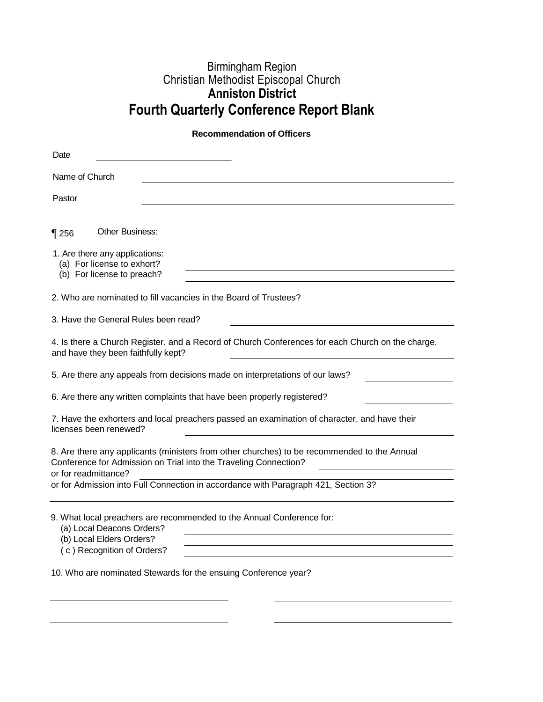## Birmingham Region Christian Methodist Episcopal Church **Anniston District Fourth Quarterly Conference Report Blank**

## **Recommendation of Officers**

| Date                                                                                                                                                                                    |
|-----------------------------------------------------------------------------------------------------------------------------------------------------------------------------------------|
| Name of Church                                                                                                                                                                          |
| Pastor                                                                                                                                                                                  |
| <b>Other Business:</b><br>$\P$ 256                                                                                                                                                      |
| 1. Are there any applications:<br>(a) For license to exhort?<br>(b) For license to preach?                                                                                              |
| 2. Who are nominated to fill vacancies in the Board of Trustees?                                                                                                                        |
| 3. Have the General Rules been read?                                                                                                                                                    |
| 4. Is there a Church Register, and a Record of Church Conferences for each Church on the charge,<br>and have they been faithfully kept?                                                 |
| 5. Are there any appeals from decisions made on interpretations of our laws?                                                                                                            |
| 6. Are there any written complaints that have been properly registered?                                                                                                                 |
| 7. Have the exhorters and local preachers passed an examination of character, and have their<br>licenses been renewed?                                                                  |
| 8. Are there any applicants (ministers from other churches) to be recommended to the Annual<br>Conference for Admission on Trial into the Traveling Connection?<br>or for readmittance? |
| or for Admission into Full Connection in accordance with Paragraph 421, Section 3?                                                                                                      |
| 9. What local preachers are recommended to the Annual Conference for:<br>(a) Local Deacons Orders?<br>(b) Local Elders Orders?<br>(c) Recognition of Orders?                            |
| 10. Who are nominated Stewards for the ensuing Conference year?                                                                                                                         |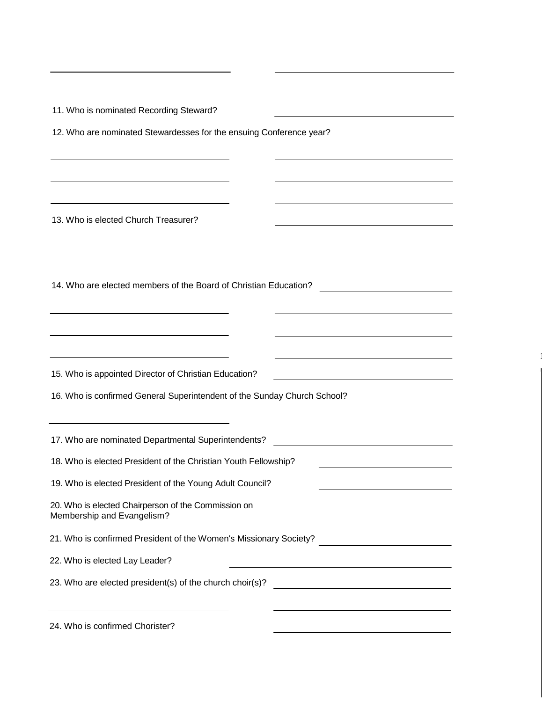11. Who is nominated Recording Steward? 12. Who are nominated Stewardesses for the ensuing Conference year? 13. Who is elected Church Treasurer? 14. Who are elected members of the Board of Christian Education? <u> 1990 - Johann Barbara, martin a</u> 15. Who is appointed Director of Christian Education? 16. Who is confirmed General Superintendent of the Sunday Church School? 17. Who are nominated Departmental Superintendents? 18. Who is elected President of the Christian Youth Fellowship? 19. Who is elected President of the Young Adult Council? 20. Who is elected Chairperson of the Commission on Membership and Evangelism? 21. Who is confirmed President of the Women's Missionary Society?<br>
<u>
</u> 22. Who is elected Lay Leader? 23. Who are elected president(s) of the church choir(s)? 24. Who is confirmed Chorister?

1